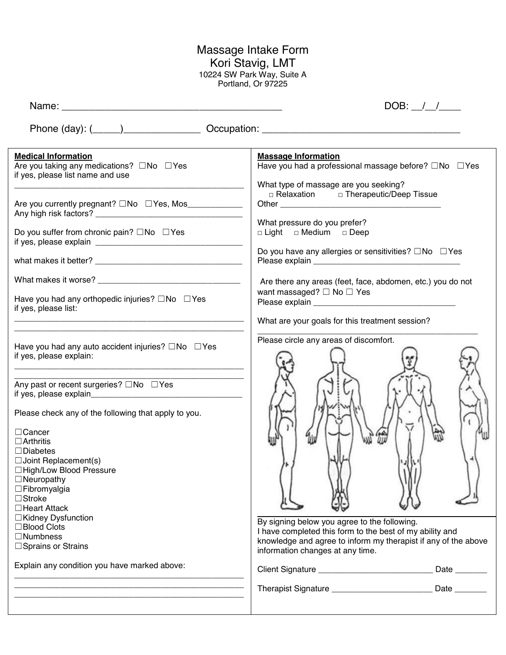## Massage Intake Form Kori Stavig, LMT 10224 SW Park Way, Suite A Portland, Or 97225

| <b>Medical Information</b><br>Are you taking any medications? □No □Yes<br>if yes, please list name and use<br>Are you currently pregnant? □No □ Yes, Mos_____________<br>Do you suffer from chronic pain? $\square$ No $\square$ Yes<br>Have you had any orthopedic injuries? $\square$ No $\square$ Yes<br>if yes, please list:<br>Have you had any auto accident injuries? $\square$ No $\square$ Yes<br>if yes, please explain:<br><u> 1989 - Johann John Harry Harry Harry Harry Harry Harry Harry Harry Harry Harry Harry Harry Harry Harry Harry</u><br>Any past or recent surgeries? □No □Yes<br>Please check any of the following that apply to you.<br>$\Box$ Cancer<br>$\Box$ Arthritis<br>$\Box$ Diabetes<br>$\Box$ Joint Replacement(s)<br>□High/Low Blood Pressure<br>$\Box$ Neuropathy<br>$\Box$ Fibromyalgia<br>$\Box$ Stroke<br>$\Box$ Heart Attack<br>□Kidney Dysfunction | <b>Massage Information</b><br>Have you had a professional massage before? □No □Yes<br>What type of massage are you seeking?<br>□ Relaxation □ Therapeutic/Deep Tissue<br>What pressure do you prefer?<br>□ Light □ Medium □ Deep<br>Do you have any allergies or sensitivities? $\square$ No $\square$ Yes<br>Are there any areas (feet, face, abdomen, etc.) you do not<br>want massaged? $\Box$ No $\Box$ Yes<br>What are your goals for this treatment session?<br>Please circle any areas of discomfort. |  |
|--------------------------------------------------------------------------------------------------------------------------------------------------------------------------------------------------------------------------------------------------------------------------------------------------------------------------------------------------------------------------------------------------------------------------------------------------------------------------------------------------------------------------------------------------------------------------------------------------------------------------------------------------------------------------------------------------------------------------------------------------------------------------------------------------------------------------------------------------------------------------------------------|--------------------------------------------------------------------------------------------------------------------------------------------------------------------------------------------------------------------------------------------------------------------------------------------------------------------------------------------------------------------------------------------------------------------------------------------------------------------------------------------------------------|--|
| □Blood Clots<br>$\Box$ Numbness<br>□ Sprains or Strains                                                                                                                                                                                                                                                                                                                                                                                                                                                                                                                                                                                                                                                                                                                                                                                                                                    | By signing below you agree to the following.<br>I have completed this form to the best of my ability and<br>knowledge and agree to inform my therapist if any of the above<br>information changes at any time.                                                                                                                                                                                                                                                                                               |  |
| Explain any condition you have marked above:                                                                                                                                                                                                                                                                                                                                                                                                                                                                                                                                                                                                                                                                                                                                                                                                                                               | Client Signature ___________________________________ Date _________                                                                                                                                                                                                                                                                                                                                                                                                                                          |  |
|                                                                                                                                                                                                                                                                                                                                                                                                                                                                                                                                                                                                                                                                                                                                                                                                                                                                                            | Therapist Signature ______________________________ Date ________                                                                                                                                                                                                                                                                                                                                                                                                                                             |  |